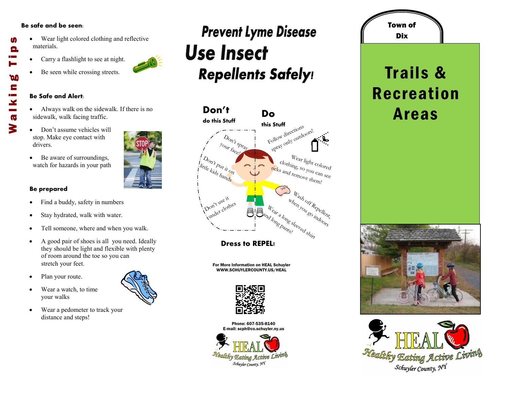### **Be safe and be seen:**

M

Θ

**DO** E

 $\mathbf{x}$  $\overline{\mathbf{G}}$ 3

- Wear light colored clothing and reflective materials. Walking Tips
	- Carry a flashlight to see at night.
	- Be seen while crossing streets.

#### **Be Safe and Alert:**

- Always walk on the sidewalk. If there is no sidewalk, walk facing traffic.
- Don't assume vehicles will stop. Make eye contact with drivers.
- Be aware of surroundings, watch for hazards in your path

### **Be prepared**

- Find a buddy, safety in numbers
- Stay hydrated, walk with water.
- Tell someone, where and when you walk.
- A good pair of shoes is all you need. Ideally they should be light and flexible with plenty of room around the toe so you can stretch your feet.
- Plan your route.
- Wear a watch, to time your walks
- Wear a pedometer to track your distance and steps!

### **Prevent Lyme Disease Use Insect Repellents Safely!**



**Dress to REPEL!**

For More Information on HEAL Schuyler WWW.SCHUYLERCOUNTY.US/HEAL



Phone: 607-535-8140 E-mail: scph@co.schuyler.ny.us



## Dix Trails & Recreation Areas

Town of